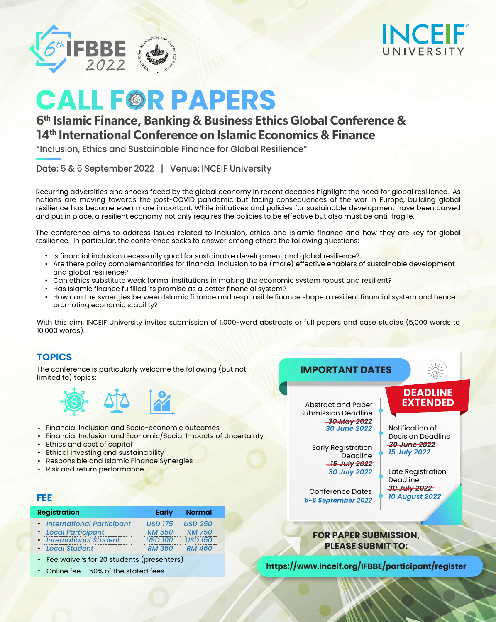The conference is particularly welcome the following (but not limited to) topics:



- Financial Inclusion and Socio-economic outcomes •
- Financial Inclusion and Economic/Social Impacts of Uncertainty •
- Ethics and cost of capital •
- Ethical investing and sustainability •
- Responsible and Islamic Finance Synergies •
- Risk and return performance •

# **TOPICS**

Recurring adversities and shocks faced by the global economy in recent decades highlight the need for global resilience. As nations are moving towards the post-COVID pandemic but facing consequences of the war in Europe, building global resilience has become even more important. While initiatives and policies for sustainable development have been carved and put in place, a resilient economy not only requires the policies to be effective but also must be anti-fragile.

- Is financial inclusion necessarily good for sustainable development and global resilience?
- Are there policy complementarities for financial inclusion to be (more) effective enablers of sustainable development and global resilience?
- Can ethics substitute weak formal institutions in making the economic system robust and resilient? •
- Has Islamic finance fulfilled its promise as a better financial system? •
- $\bullet~$  How can the synergies between Islamic finance and responsible finance shape a resilient financial system and hence promoting economic stability?

The conference aims to address issues related to inclusion, ethics and Islamic finance and how they are key for global resilience. In particular, the conference seeks to answer among others the following questions:

- Fee waivers for 20 students (presenters)
- Online fee 50% of the stated fees

Conference Dates 5-6 September 2022

With this aim, INCEIF University invites submission of 1,000-word abstracts or full papers and case studies (5,000 words to 10,000 words).

#### **FEE**

**https://www.inceif.org/IFBBE/participant/register**

#### **FOR PAPER SUBMISSION, PLEASE SUBMIT TO:**

| <b>Registration</b>         | <b>Early</b>   | <b>Normal</b>  |
|-----------------------------|----------------|----------------|
| • International Participant | <b>USD 175</b> | <b>USD 250</b> |
| • Local Participant         | <b>RM 550</b>  | <b>RM 750</b>  |
| • International Student     | <b>USD 100</b> | <b>USD 150</b> |
| • Local Student             | <b>RM 350</b>  | <b>RM 450</b>  |





# **CALL FGR PAPERS**

"Inclusion, Ethics and Sustainable Finance for Global Resilience"

# **6th Islamic Finance, Banking & Business Ethics Global Conference & 14th International Conference on Islamic Economics & Finance**

Date: 5 & 6 September 2022 | Venue: INCEIF University

Notification of Decision Deadline



Early Registration Deadline *15 July 2022 30 July 2022*

*30 June 2022*

Late Registration Deadline *15 July 2022 30 July 2022 10 August 2022*

*30 June 2022*